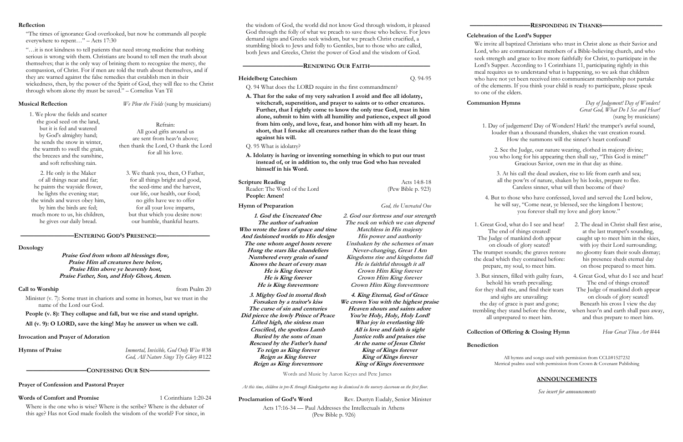### **Reflection**

"The times of ignorance God overlooked, but now he commands all people everywhere to repent…" – Acts 17:30

"…it is not kindness to tell patients that need strong medicine that nothing serious is wrong with them. Christians are bound to tell men the truth about themselves; that is the only way of brining them to recognize the mercy, the compassion, of Christ. For if men are told the truth about themselves, and if they are warned against the false remedies that establish men in their wickedness, then, by the power of the Spirit of God, they will flee to the Christ through whom alone thy must be saved." – Cornelius Van Til

**Musical Reflection** *We Plow the Fields* (sung by musicians)

### **————————ENTERING GOD'S PRESENCE————————**

### **Doxology**

**Praise God from whom all blessings flow, Praise Him all creatures here below, Praise Him above ye heavenly host, Praise Father, Son, and Holy Ghost, Amen.**

### **Call to Worship** from Psalm 20

Minister (v. 7): Some trust in chariots and some in horses, but we trust in the name of the Lord our God.

**People (v. 8): They collapse and fall, but we rise and stand upright.**

**All (v. 9): O LORD, save the king! May he answer us when we call.**

### **Invocation and Prayer of Adoration**

**Hymns of Praise** *Immortal, Invisible, God Only Wise* #38 *God, All Nature Sings Thy Glory* #122

**—————————CONFESSING OUR SIN—————————**

**Prayer of Confession and Pastoral Prayer**

**Scripture Reading** Acts 14:8-18 Reader: The Word of the Lord (Pew Bible p. 923) **People: Amen!**

## **Hymn of Preparation** *God, the Uncreated One*

## **Words of Comfort and Promise** 1 Corinthians 1:20-24

Where is the one who is wise? Where is the scribe? Where is the debater of this age? Has not God made foolish the wisdom of the world? For since, in

the wisdom of God, the world did not know God through wisdom, it pleased God through the folly of what we preach to save those who believe. For Jews demand signs and Greeks seek wisdom, but we preach Christ crucified, a stumbling block to Jews and folly to Gentiles, but to those who are called, both Jews and Greeks, Christ the power of God and the wisdom of God.

## **—————————RENEWING OUR FAITH—————————**

## **Heidelberg Catechism** Q. 94-95

Q. 94 What does the LORD require in the first commandment?

**A. That for the sake of my very salvation I avoid and flee all idolatry, witchcraft, superstition, and prayer to saints or to other creatures. Further, that I rightly come to know the only true God, trust in him alone, submit to him with all humility and patience, expect all good from him only, and love, fear, and honor him with all my heart. In short, that I forsake all creatures rather than do the least thing against his will.**

Q. 95 What is idolatry?

**A. Idolatry is having or inventing something in which to put our trust instead of, or in addition to, the only true God who has revealed himself in his Word.**

*At this time, children in pre-K through Kindergarten may be dismissed to the nursery classroom on the first floor.*

**Proclamation of God's Word** Rev. Dustyn Eudaly, Senior Minister

Acts 17:16-34 — Paul Addresses the Intellectuals in Athens (Pew Bible p. 926)

## **Celebration of the Lord's Supper**

our humble, thankful hearts. **1.** The **author of salvation** The rock on which we can depend 1. Great God, what do I see and hear! **1. God the Uncreated One The author of salvation Who wrote the laws of space and time And fashioned worlds to His design The one whom angel hosts revere Hung the stars like chandeliers Numbered every grain of sand Knows the heart of every man He is King forever He is King forever He is King forevermore**

We invite all baptized Christians who trust in Christ alone as their Savior and Lord, who are communicant members of a Bible-believing church, and who seek strength and grace to live more faithfully for Christ, to participate in the Lord's Supper. According to 1 Corinthians 11, participating rightly in this meal requires us to understand what is happening, so we ask that children who have not yet been received into communicant membership not partake of the elements. If you think your child is ready to participate, please speak to one of the elders.

**Communion Hymns** *Day of Judgement! Day of Wonders! Great God, What Do I See and Hear!* (sung by musicians)

# **Collection of Offering & Closing Hymn** *How Great Thou Art* #44

## **Benediction**

All hymns and songs used with permission from CCLI#1527232 Metrical psalms used with permission from Crown & Covenant Publishing

# **ANNOUNCEMENTS**

*See insert for announcements*

1. We plow the fields and scatter the good seed on the land, but it is fed and watered by God's almighty hand; he sends the snow in winter, the warmth to swell the grain, the breezes and the sunshine, and soft refreshing rain.

Refrain: All good gifts around us are sent from heav'n above; then thank the Lord, O thank the Lord for all his love.

2. He only is the Maker of all things near and far; he paints the wayside flower, he lights the evening star; the winds and waves obey him, by him the birds are fed; much more to us, his children, he gives our daily bread.

3. We thank you, then, O Father, for all things bright and good, the seed-time and the harvest, our life, our health, our food; no gifts have we to offer for all your love imparts, but that which you desire now:

The end of things created! The Judge of mankind doth appear on clouds of glory seated! The trumpet sounds; the graves restore the dead which they contained before: prepare, my soul, to meet him.

2. The dead in Christ shall first arise, at the last trumpet's sounding, caught up to meet him in the skies, with joy their Lord surrounding; no gloomy fears their souls dismay; his presence sheds eternal day on those prepared to meet him.

3. But sinners, filled with guilty fears, behold his wrath prevailing; for they shall rise, and find their tears and sighs are unavailing: the day of grace is past and gone; trembling they stand before the throne, when heav'n and earth shall pass away, all unprepared to meet him.

4. Great God, what do I see and hear! The end of things created! The Judge of mankind doth appear on clouds of glory seated! Beneath his cross I view the day and thus prepare to meet him.

1. Day of judgement! Day of Wonders! Hark! the trumpet's awful sound, louder than a thousand thunders, shakes the vast creation round. How the summons will the sinner's heart confound!

2. See the Judge, our nature wearing, clothed in majesty divine; you who long for his appearing then shall say, "This God is mine!" Gracious Savior, own me in that day as thine.

3. At his call the dead awaken, rise to life from earth and sea; all the pow'rs of nature, shaken by his looks, prepare to flee. Careless sinner, what will then become of thee?

4. But to those who have confessed, loved and served the Lord below, he will say, "Come near, ye blessed, see the kingdom I bestow; you forever shall my love and glory know."

**2. God our fortress and our strength**

**Matchless in His majesty His power and authority Unshaken by the schemes of man Never-changing, Great I Am Kingdoms rise and kingdoms fall He is faithful through it all Crown Him King forever Crown Him King forever Crown Him King forevermore**

**3. Mighty God in mortal flesh Forsaken by a traitor's kiss The curse of sin and centuries Did pierce the lowly Prince of Peace Lifted high, the sinless man Crucified, the spotless Lamb Buried by the sons of man Rescued by the Father's hand To reign as King forever Reign as King forever Reign as King forevermore**

**4. King Eternal, God of Grace We crown You with the highest praise Heaven shouts and saints adore You're Holy, Holy, Holy Lord! What joy in everlasting life All is love and faith is sight Justice rolls and praises rise At the name of Jesus Christ King of Kings forever King of Kings forever King of Kings forevermore**

Words and Music by Aaron Keyes and Pete James